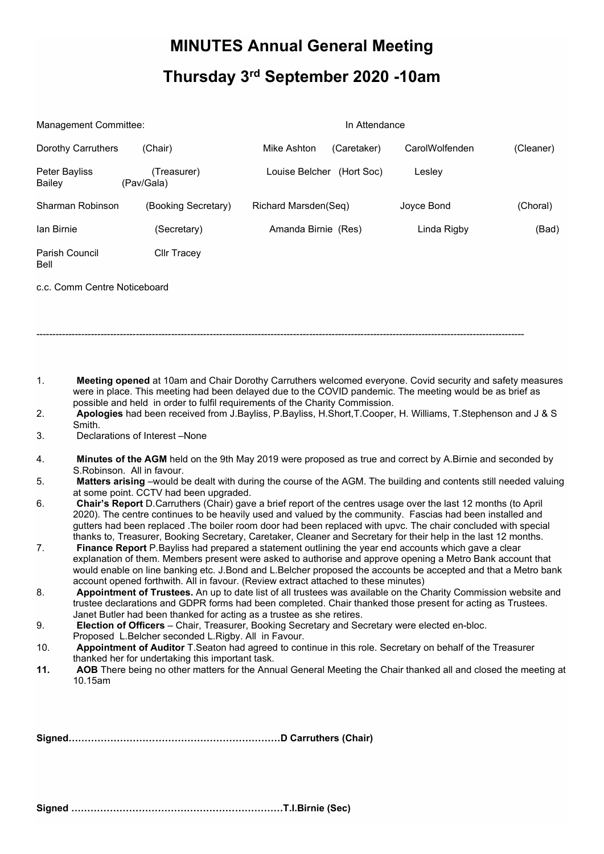## **MINUTES Annual General Meeting Thursday 3rd September 2020 -10am**

| Management Committee:         |                           | In Attendance                |                |           |
|-------------------------------|---------------------------|------------------------------|----------------|-----------|
| Dorothy Carruthers            | (Chair)                   | Mike Ashton<br>(Caretaker)   | CarolWolfenden | (Cleaner) |
| Peter Bayliss<br>Bailey       | (Treasurer)<br>(Pav/Gala) | Louise Belcher<br>(Hort Soc) | Lesley         |           |
| Sharman Robinson              | (Booking Secretary)       | Richard Marsden(Seq)         | Joyce Bond     | (Choral)  |
| lan Birnie                    | (Secretary)               | Amanda Birnie (Res)          | Linda Rigby    | (Bad)     |
| <b>Parish Council</b><br>Bell | <b>CIIr Tracey</b>        |                              |                |           |

c.c. Comm Centre Noticeboard

1. **Meeting opened** at 10am and Chair Dorothy Carruthers welcomed everyone. Covid security and safety measures were in place. This meeting had been delayed due to the COVID pandemic. The meeting would be as brief as possible and held in order to fulfil requirements of the Charity Commission.

--------------------------------------------------------------------------------------------------------------------------------------------------------

- 2. **Apologies** had been received from J.Bayliss, P.Bayliss, H.Short,T.Cooper, H. Williams, T.Stephenson and J & S Smith.
- 3. Declarations of Interest –None
- 4. **Minutes of the AGM** held on the 9th May 2019 were proposed as true and correct by A.Birnie and seconded by S.Robinson. All in favour.
- 5. **Matters arising** –would be dealt with during the course of the AGM. The building and contents still needed valuing at some point. CCTV had been upgraded.
- 6. **Chair's Report** D.Carruthers (Chair) gave a brief report of the centres usage over the last 12 months (to April 2020). The centre continues to be heavily used and valued by the community. Fascias had been installed and gutters had been replaced .The boiler room door had been replaced with upvc. The chair concluded with special thanks to, Treasurer, Booking Secretary, Caretaker, Cleaner and Secretary for their help in the last 12 months.
- 7. **Finance Report** P.Bayliss had prepared a statement outlining the year end accounts which gave a clear explanation of them. Members present were asked to authorise and approve opening a Metro Bank account that would enable on line banking etc. J.Bond and L.Belcher proposed the accounts be accepted and that a Metro bank account opened forthwith. All in favour. (Review extract attached to these minutes)
- 8. **Appointment of Trustees.** An up to date list of all trustees was available on the Charity Commission website and trustee declarations and GDPR forms had been completed. Chair thanked those present for acting as Trustees. Janet Butler had been thanked for acting as a trustee as she retires.
- 9. **Election of Officers** Chair, Treasurer, Booking Secretary and Secretary were elected en-bloc. Proposed L.Belcher seconded L.Rigby. All in Favour.
- 10. **Appointment of Auditor** T.Seaton had agreed to continue in this role. Secretary on behalf of the Treasurer thanked her for undertaking this important task.
- **11. AOB** There being no other matters for the Annual General Meeting the Chair thanked all and closed the meeting at 10.15am

**Signed…………………………………………………………D Carruthers (Chair)** 

**Signed …………………………………………………………T.I.Birnie (Sec)**